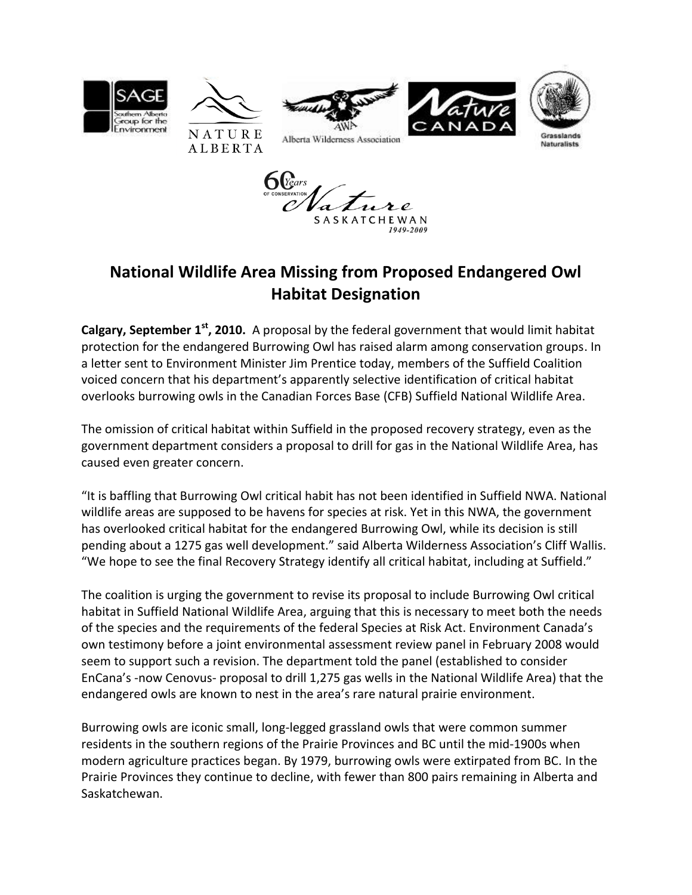

## **National Wildlife Area Missing from Proposed Endangered Owl Habitat Designation**

SASKATCHEWAN

**Calgary, September 1 st, 2010.** A proposal by the federal government that would limit habitat protection for the endangered Burrowing Owl has raised alarm among conservation groups. In a letter sent to Environment Minister Jim Prentice today, members of the Suffield Coalition voiced concern that his department's apparently selective identification of critical habitat overlooks burrowing owls in the Canadian Forces Base (CFB) Suffield National Wildlife Area.

The omission of critical habitat within Suffield in the proposed recovery strategy, even as the government department considers a proposal to drill for gas in the National Wildlife Area, has caused even greater concern.

"It is baffling that Burrowing Owl critical habit has not been identified in Suffield NWA. National wildlife areas are supposed to be havens for species at risk. Yet in this NWA, the government has overlooked critical habitat for the endangered Burrowing Owl, while its decision is still pending about a 1275 gas well development." said Alberta Wilderness Association's Cliff Wallis. "We hope to see the final Recovery Strategy identify all critical habitat, including at Suffield."

The coalition is urging the government to revise its proposal to include Burrowing Owl critical habitat in Suffield National Wildlife Area, arguing that this is necessary to meet both the needs of the species and the requirements of the federal Species at Risk Act. Environment Canada's own testimony before a joint environmental assessment review panel in February 2008 would seem to support such a revision. The department told the panel (established to consider EnCana's -now Cenovus- proposal to drill 1,275 gas wells in the National Wildlife Area) that the endangered owls are known to nest in the area's rare natural prairie environment.

Burrowing owls are iconic small, long-legged grassland owls that were common summer residents in the southern regions of the Prairie Provinces and BC until the mid-1900s when modern agriculture practices began. By 1979, burrowing owls were extirpated from BC. In the Prairie Provinces they continue to decline, with fewer than 800 pairs remaining in Alberta and Saskatchewan.